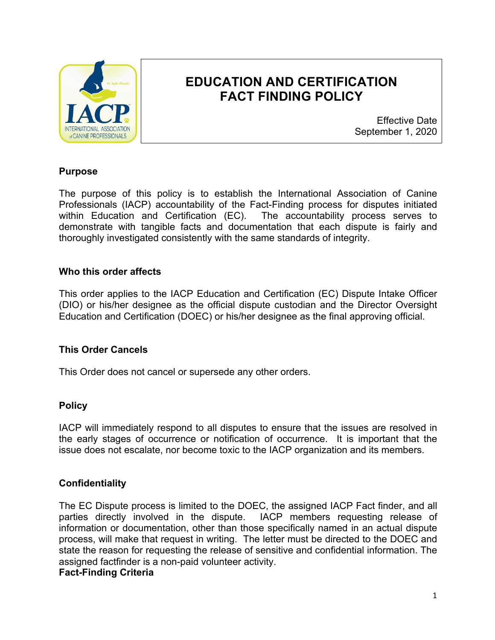

# **EDUCATION AND CERTIFICATION FACT FINDING POLICY**

Effective Date September 1, 2020

#### **Purpose**

The purpose of this policy is to establish the International Association of Canine Professionals (IACP) accountability of the Fact-Finding process for disputes initiated within Education and Certification (EC). The accountability process serves to demonstrate with tangible facts and documentation that each dispute is fairly and thoroughly investigated consistently with the same standards of integrity.

#### **Who this order affects**

This order applies to the IACP Education and Certification (EC) Dispute Intake Officer (DIO) or his/her designee as the official dispute custodian and the Director Oversight Education and Certification (DOEC) or his/her designee as the final approving official.

#### **This Order Cancels**

This Order does not cancel or supersede any other orders.

#### **Policy**

IACP will immediately respond to all disputes to ensure that the issues are resolved in the early stages of occurrence or notification of occurrence. It is important that the issue does not escalate, nor become toxic to the IACP organization and its members.

## **Confidentiality**

The EC Dispute process is limited to the DOEC, the assigned IACP Fact finder, and all parties directly involved in the dispute. IACP members requesting release of information or documentation, other than those specifically named in an actual dispute process, will make that request in writing. The letter must be directed to the DOEC and state the reason for requesting the release of sensitive and confidential information. The assigned factfinder is a non-paid volunteer activity. **Fact-Finding Criteria**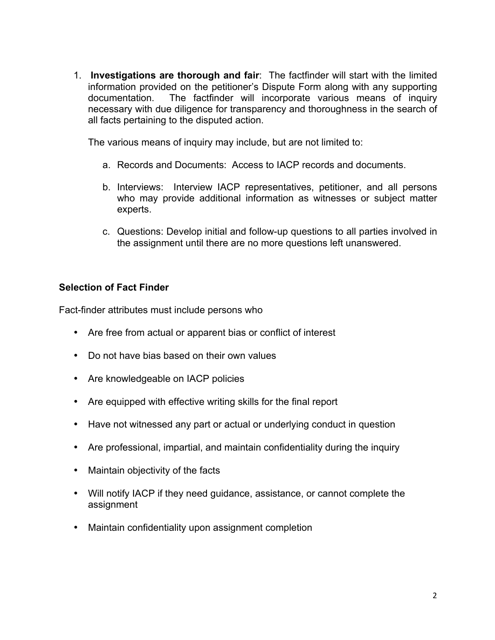1. **Investigations are thorough and fair**: The factfinder will start with the limited information provided on the petitioner's Dispute Form along with any supporting documentation. The factfinder will incorporate various means of inquiry necessary with due diligence for transparency and thoroughness in the search of all facts pertaining to the disputed action.

The various means of inquiry may include, but are not limited to:

- a. Records and Documents: Access to IACP records and documents.
- b. Interviews: Interview IACP representatives, petitioner, and all persons who may provide additional information as witnesses or subject matter experts.
- c. Questions: Develop initial and follow-up questions to all parties involved in the assignment until there are no more questions left unanswered.

#### **Selection of Fact Finder**

Fact-finder attributes must include persons who

- Are free from actual or apparent bias or conflict of interest
- Do not have bias based on their own values
- Are knowledgeable on IACP policies
- Are equipped with effective writing skills for the final report
- Have not witnessed any part or actual or underlying conduct in question
- Are professional, impartial, and maintain confidentiality during the inquiry
- Maintain objectivity of the facts
- Will notify IACP if they need guidance, assistance, or cannot complete the assignment
- Maintain confidentiality upon assignment completion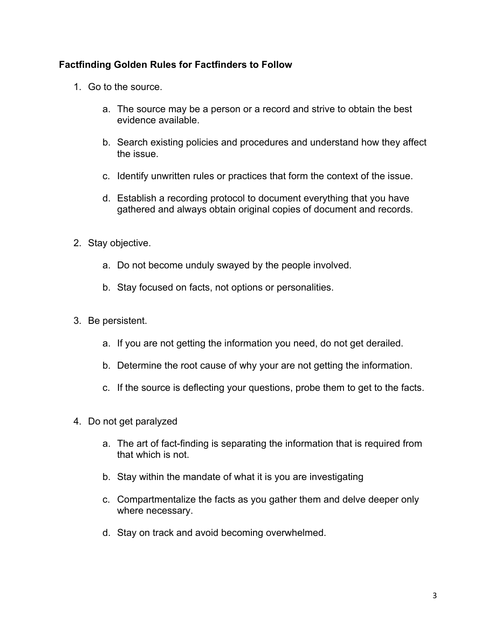## **Factfinding Golden Rules for Factfinders to Follow**

- 1. Go to the source.
	- a. The source may be a person or a record and strive to obtain the best evidence available.
	- b. Search existing policies and procedures and understand how they affect the issue.
	- c. Identify unwritten rules or practices that form the context of the issue.
	- d. Establish a recording protocol to document everything that you have gathered and always obtain original copies of document and records.
- 2. Stay objective.
	- a. Do not become unduly swayed by the people involved.
	- b. Stay focused on facts, not options or personalities.
- 3. Be persistent.
	- a. If you are not getting the information you need, do not get derailed.
	- b. Determine the root cause of why your are not getting the information.
	- c. If the source is deflecting your questions, probe them to get to the facts.
- 4. Do not get paralyzed
	- a. The art of fact-finding is separating the information that is required from that which is not.
	- b. Stay within the mandate of what it is you are investigating
	- c. Compartmentalize the facts as you gather them and delve deeper only where necessary.
	- d. Stay on track and avoid becoming overwhelmed.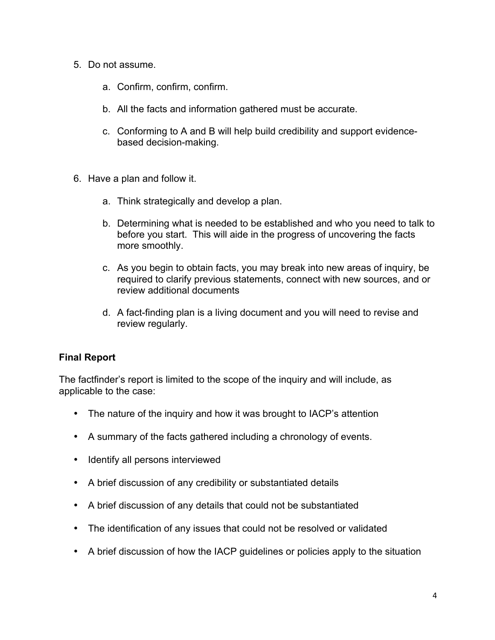- 5. Do not assume.
	- a. Confirm, confirm, confirm.
	- b. All the facts and information gathered must be accurate.
	- c. Conforming to A and B will help build credibility and support evidencebased decision-making.
- 6. Have a plan and follow it.
	- a. Think strategically and develop a plan.
	- b. Determining what is needed to be established and who you need to talk to before you start. This will aide in the progress of uncovering the facts more smoothly.
	- c. As you begin to obtain facts, you may break into new areas of inquiry, be required to clarify previous statements, connect with new sources, and or review additional documents
	- d. A fact-finding plan is a living document and you will need to revise and review regularly.

## **Final Report**

The factfinder's report is limited to the scope of the inquiry and will include, as applicable to the case:

- The nature of the inquiry and how it was brought to IACP's attention
- A summary of the facts gathered including a chronology of events.
- Identify all persons interviewed
- A brief discussion of any credibility or substantiated details
- A brief discussion of any details that could not be substantiated
- The identification of any issues that could not be resolved or validated
- A brief discussion of how the IACP guidelines or policies apply to the situation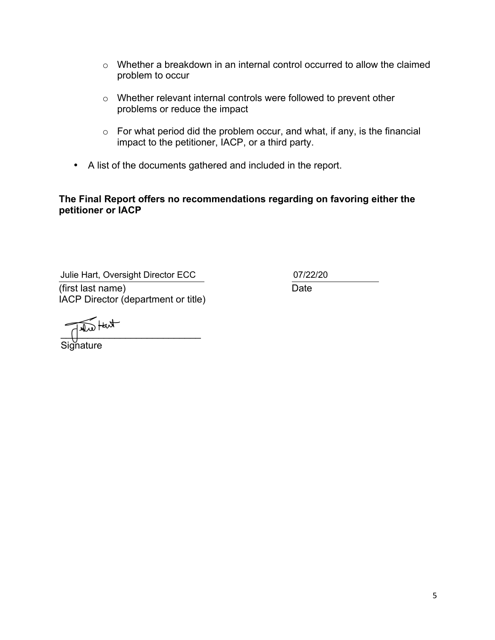- o Whether a breakdown in an internal control occurred to allow the claimed problem to occur
- o Whether relevant internal controls were followed to prevent other problems or reduce the impact
- $\circ$  For what period did the problem occur, and what, if any, is the financial impact to the petitioner, IACP, or a third party.
- A list of the documents gathered and included in the report.

## **The Final Report offers no recommendations regarding on favoring either the petitioner or IACP**

(first last name) Date IACP Director (department or title) Julie Hart, Oversight Director ECC 07/22/20

 $\overline{\phantom{a}}$ 

Signature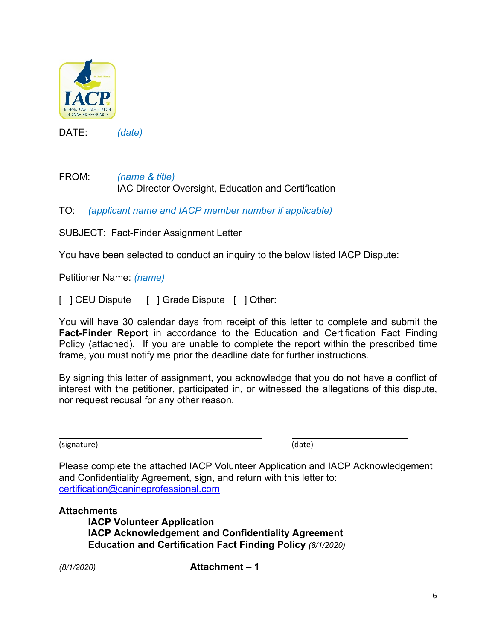

DATE: *(date)*

FROM: *(name & title)* IAC Director Oversight, Education and Certification

TO: *(applicant name and IACP member number if applicable)*

SUBJECT: Fact-Finder Assignment Letter

You have been selected to conduct an inquiry to the below listed IACP Dispute:

Petitioner Name: *(name)*

[ ] CEU Dispute [ ] Grade Dispute [ ] Other:

You will have 30 calendar days from receipt of this letter to complete and submit the **Fact-Finder Report** in accordance to the Education and Certification Fact Finding Policy (attached). If you are unable to complete the report within the prescribed time frame, you must notify me prior the deadline date for further instructions.

By signing this letter of assignment, you acknowledge that you do not have a conflict of interest with the petitioner, participated in, or witnessed the allegations of this dispute, nor request recusal for any other reason.

(signature) (date)

Please complete the attached IACP Volunteer Application and IACP Acknowledgement and Confidentiality Agreement, sign, and return with this letter to: certification@canineprofessional.com

## **Attachments**

**IACP Volunteer Application IACP Acknowledgement and Confidentiality Agreement Education and Certification Fact Finding Policy** *(8/1/2020)*

*(8/1/2020)* **Attachment – 1**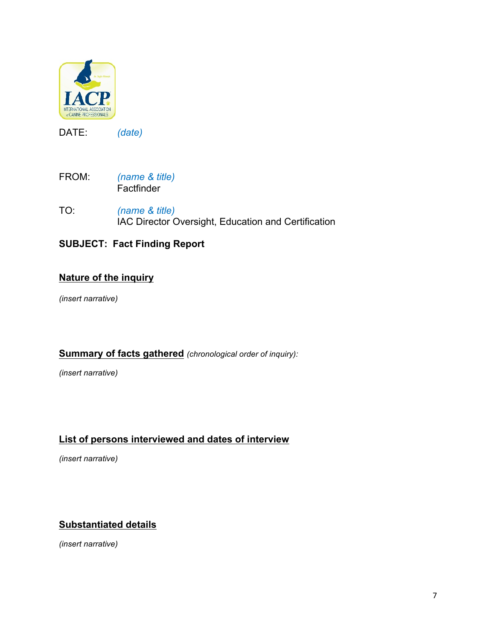

DATE: *(date)*

- FROM: *(name & title)* **Factfinder**
- TO: *(name & title)* IAC Director Oversight, Education and Certification

# **SUBJECT: Fact Finding Report**

## **Nature of the inquiry**

*(insert narrative)*

## **Summary of facts gathered** *(chronological order of inquiry):*

*(insert narrative)*

# **List of persons interviewed and dates of interview**

*(insert narrative)*

# **Substantiated details**

*(insert narrative)*